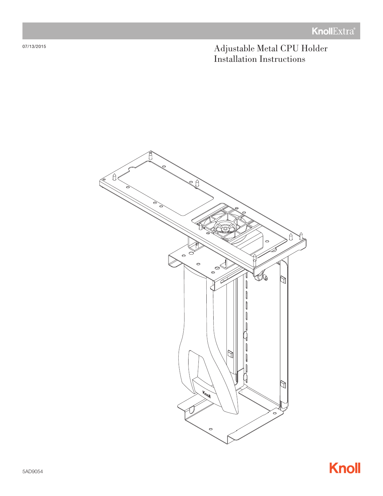Adjustable Metal CPU Holder Installation Instructions



07/13/2015